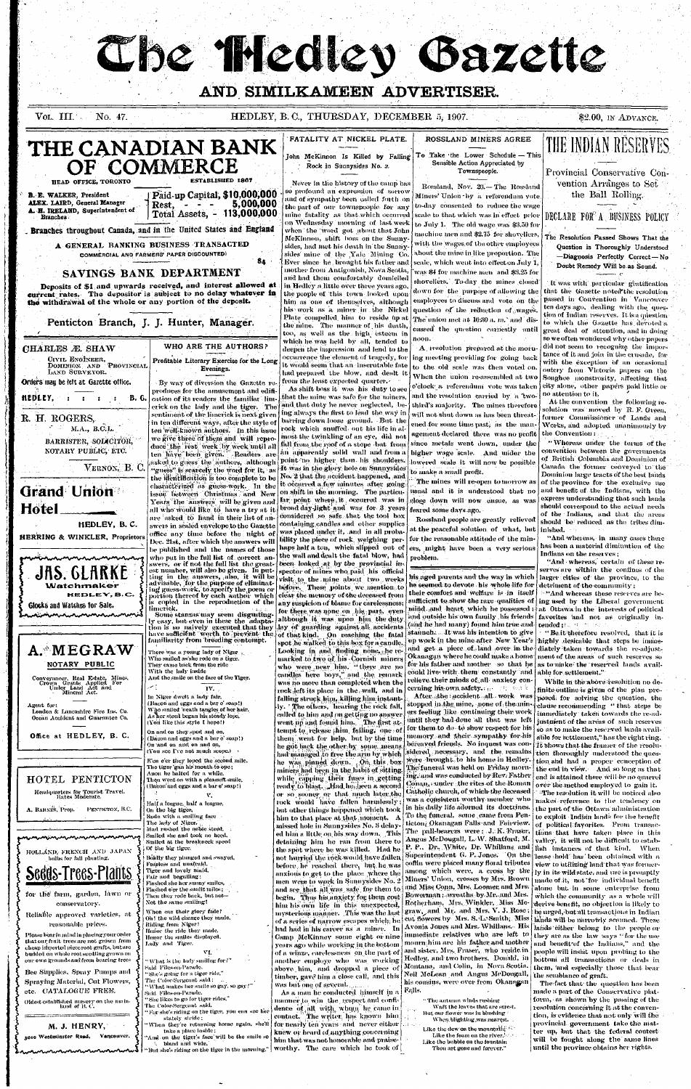# The Theoley Gazette

# AND SIMILKAMEEN ADVERTISER.

 $\rm{Vol.}$   $\rm{III.}$  and  $\rm{O}$ No. 47. HEDLEY, B.C., THURSDAY, DECEMBER 5, 1907.

\$2.00, IN ADVANCE.



|                                                                                                                                                                                                                                                                                | Dec. 21st, after which the answers wil                                                                                                                                                                                                                                                                                                    |
|--------------------------------------------------------------------------------------------------------------------------------------------------------------------------------------------------------------------------------------------------------------------------------|-------------------------------------------------------------------------------------------------------------------------------------------------------------------------------------------------------------------------------------------------------------------------------------------------------------------------------------------|
| JAS. GLARKE<br>Watchmaker<br>HEDLEY, B.C.                                                                                                                                                                                                                                      | be published and the names of those<br>who put in the full list of correct an<br>swers, or if not the full list the great<br>est number, will also be given. In put<br>ting in the answers, also, it will be<br>advisable, [for the purpose of eliminat<br>ing guess-work, to specify the poem or<br>portion thereof by each author which |
| Glocks and Watches for Sale.                                                                                                                                                                                                                                                   | is copied in the reproduction of the<br>limerick.                                                                                                                                                                                                                                                                                         |
|                                                                                                                                                                                                                                                                                | Some stanzas may seem disgusting<br>ly easy, but even in these the adapta<br>tion is so naively executed that they<br>have sufficient worth to prevent the<br>familiarity from breeding contempt.                                                                                                                                         |
| $\mathtt{A}\cdot\texttt{MEGRAW}$<br>NOTARY PUBLIC<br>Conveyancer, Real Estate, Mines,<br>Crown Grants Applied For<br>Under Land Act and<br>Mineral Act.                                                                                                                        | There was a young lady of Niger<br>Who smiled as she rode on a tiger.<br>They came back from the ride<br>With the lady inside<br>And the smile on the face of the Tiger.<br>بالمعتبر<br>IV.<br>In Niger dwelt a lady fair,<br>(Bacon and eggs and a bar o' soap!)                                                                         |
| Agent for:<br>London & Lancashire Fire Ins. Co.<br>Ocean Accident and Guarantee Co.                                                                                                                                                                                            | Who smiled 'neath tangles of her hair,<br>As her steed began his steady lope.<br>(You like this style I hope!)<br>On and on they sped and on,                                                                                                                                                                                             |
| Office at HEDLEY, B. C.                                                                                                                                                                                                                                                        | (Bacon and eggs and a bar o' soap!)<br>On and on and on and on,<br>(You see I've not much scope.)<br>E'en e'er they loped the second mile.                                                                                                                                                                                                |
| HOTEL PENTICTON<br>Headquarters for Tourist Travel.                                                                                                                                                                                                                            | The tiger 'gan his mouth to ope ;<br>Anon he halted for a while,<br>Then went on with a pleasant smile,<br>(Bacon'and eggs and a bar o' soap!)                                                                                                                                                                                            |
| Rates Moderate.<br>A. BARNES, Prop. PENTICTON, B.C.                                                                                                                                                                                                                            | ٧.<br>Half a league, half a league,<br>On the big tiger.<br>Rode with a smiling face<br>The lady of Niger.<br>Mad rushed the noble steed,<br>Smiled she and took no heed.                                                                                                                                                                 |
| HOLLAND, FRENCH AND JAPAN<br>bulbs for fall planting.<br>Sedds-Trees-Plants                                                                                                                                                                                                    | Smiled at the breakneck speed<br>Of the big tiger.<br>Boldly they plunged and swayed,<br>Fearless and unafraid,<br>Tiger and lovely maid,                                                                                                                                                                                                 |
| for the farm, garden, lawn or<br>conservatory.                                                                                                                                                                                                                                 | Fair and beguiling:<br>Flashed she her sunny smiles,<br>Flashed o'er the sunlit miles;<br>Then they rode back, but not—<br>Not the same smiling!                                                                                                                                                                                          |
| Reliable approved varieties, at<br>reasonable prices.<br>Please bear in mind in placing your order<br>that our fruit trees are not grown from<br>cheap imported piece root grafts, but are<br>budded on whole root seedling grown on<br>our own grounds and from bearing trees | When can their glory fade?<br>Oh! the wild charge they made,<br>Riding from Niger!<br>Honor the ride they made,<br>Honor the smiles displayed,<br>Lady and Tiger.<br>VI.<br>" What is the lady smiling for?"                                                                                                                              |
| Bee Sipplies, Spray Pumps and<br>Spraying Material, Cut Flowers,<br>etc. CATALOGUE FREE.<br>Oldest established museuv on the main-                                                                                                                                             | Said Files-on-Parade.<br>"She's going for a tiger ride,"<br>The Color-Sergeant said:<br>"What makes her smile so gay, so gay?"<br>Said Files on Parade.<br>"She likes to go for tiger rides,"                                                                                                                                             |

M. J. HENRY.

3010 Westminster Road, Vancouver.

land of B.C.

ode on a tiger. m the ride e face of the Tiger. IV. dy fair, l a bar o' soap!) angles of her hair. nis steady lope. I hope!) and on, a bar o' soap!) md on, uch scope.) the second mile. nith to ope; a while. pleasant smile, . a bar o' soap!) v. league, face le steed, no heed. neck speed and swayed, iđ. id, y smiles, it miles ; -but not g! y fade? they made, made, played, VI. niling for ?` er ride," aid : ile so gay, so gay?" ger rides," The Color-Sergeant said, For she's riding on the tiger, you can see her stately stride: When they're returning home again, she'll take a place inside; And on the tiger's face will be the smile se

bland and wide, But she's riding on the tiger in the morning."

by each-author-which [ clear the memory of the deceased from  $\mathbf{e}^\top$  reproduction  $\left.\mathbf{of}\right.$  the  $\left.\right|$  any suspicion of blame for carelessness; for there was none on his part, even although it was upon him the duty ly executed that they lay of guarding against all accidents vorth to prevent the of that kind. On reaching the fatal spot he walked to this box for a candle. Looking in and finding none, he remarked to two of his Cornish miners who were near him, "there are no candles here boys," and the remark was no more than completed when the rock left its place in the wall, and in falling struck him, killing him instant ly. The others, hearing the rock fall, called to him and on getting no answer went up and found him. The first attempt to release him failing, one of them went for help, but by the time he got back the other by some means. had managed to free the arm by which he was pinned down. On this box miners had been in the lubit of sitting. while capping their fuses in getting ready to blast. Had he been a second or so sooner or that much later the rock would have fallen harmlessly; but other things happened which took him to that place at that moment. A missed hole in Sunnysides No. 3 delayed him a little on his way down. This detaining him he ran from there to the spot where he was killed. Had he not hurried the rock would have fallen before he reached there, but he was anxious to get to the place where the men were to work in Sunnysides No. 2 and see that all was safe for them to begin. Thus his anxiety for them cost him his own life in this unexpected, mysterious manner. This was the last of a series of narrow escapes which; he had had in his career as a miner. In Camp McKinney some eight or nine years ago while working in the bottom of a winze, carelessness on the part of another employe who was working above him, and dropped a piece of timber, gave him a close call, and this was but one of several.

As a man he conducted himself in a manner to win the respect and confidence of all with whom he came in contact. The writer, has known him for nearly ten years and never either knew or heard of anything concerning him that was not honorable and praise-| worthy. The care which he took of |

their comfort and welfare, is an itself sufficient to show the rare qualities of ing used by the Libetal government mind and heart which he possessed ; at Ottawa in the interests of political and outside his own family his friends [favorites 'and not as originally in-(and he had many) found him true and  $|$  tended  $\mathcal{H}_{\text{max}}$  and  $\mathcal{H}_{\text{max}}$ staunch. At was his intention to give up work in the mine after New Year's highly desirable that steps be immeand get a piece of land over in the diately taken towards the re-adjust-Okanagan where he could make a home | ment of the areas of such reserves so for his father and mother so that he as to make the reserved lands availcould live with them constantly and able for settlement." relieve their minds of all anxiety concerning his own safety. From that is

After the accident all work was stopped in the mine, none of the miners feeling like continuing their work until they had done all that was left for them to do to show respect for his | memory and their sympathy for his bereaved friends. No inquest was considered necessary, and the remains were brought to his home in Hedley The funeral was held on Friday morn ing, and was conducted by Rev. Father Conan, sunder the rites of the Roman Catholic church, of which the deceased was a consistent worthy member who in his daily life adorned its doctrines. To the funeral, some came from Pen ticton, Okamagan Falls and Fairview. The pall-bearers were: J. K. Fraser Angus McDougall, L.W. Shatford, M. P. P., Dr., White, Dr. Whillans, and Superintendent G. P. Jones. On the coffin were placed many floral tributes among which were, a cross by the Miners' Union, crosses by Mrs. Brown and Miss Conn, Mrs. Loomer and Mrs. Bowerman : wreaths by Mr. and Mrs. Rotherham, Mrs. Winkler, Miss Megraw, and Mr. and Mrs. V. J. Rose; ent flowers by Mrs. S. L. Smith, Miss Avonia Jones and Mrs. Whillams. His immediate relatives who are left to mourn him are his father and mother and sister, Mrs. Fraser, who reside in Hedley, and two brothers, Dounld, in Montana, and Colin, in Nova Seotia. Neil McLean and Angus McDougall, his cousins, were over from Okanagan Falls.

> " The antumn winds rushing Waft the leaves that are serest. But our flower was in blushing When blighting was nearest.

Like the dew on the mountain Fill Like the foam on the river, been Like the bubble on the fountain Thou art gone and forever."

 $\vert$  = "And whereas these reserves are be

 $\cdots$  Be it therefore resolved, that it is

While in the above resolution no definite outline is given of the plan proposed for solving the question, the clause recommending "that steps be immediately taken towards the re-adjustment of the areas of such reserves so as to make the reserved lands available for settlement," has the right ring. It shows that the framer of the resolution thoroughly understood the question and had a proper conception of the end in view. And so long as that end is attained there will be no quarrel over the method employed to gain it. The resolution it will be noticed also makes reference to the tendency on the part of the Ottawa administration to exploit Indian lands for the benefit of political fayorites. From transactions that have taken place in this valley, it will not be difficult to establish instances of that kind. When lease shold has been olitained with a view to utilizing land that was formerly in its wild state, and use is promptly made of it, not for individual benefit alone but in some enterprise from which the community as a whole will derive benefit, no objection is likely to be urged, but all transactions in Indian lands will be narrowly scanned. These lands either belong to the people or they are as the law says "for the use and benefit of the Indians," and the people will insist upon probing to the bottoni all transactions or deals in them, and especially those that bear the semblance of graft.

The fact that the question has been made a part of the Conservative platform, as shown by the passing of the resolution concerning it at the convention, is evidence that not only will the provincial government take the matter up, but that the federal contest will be fought along the same lines until the province obtains her rights.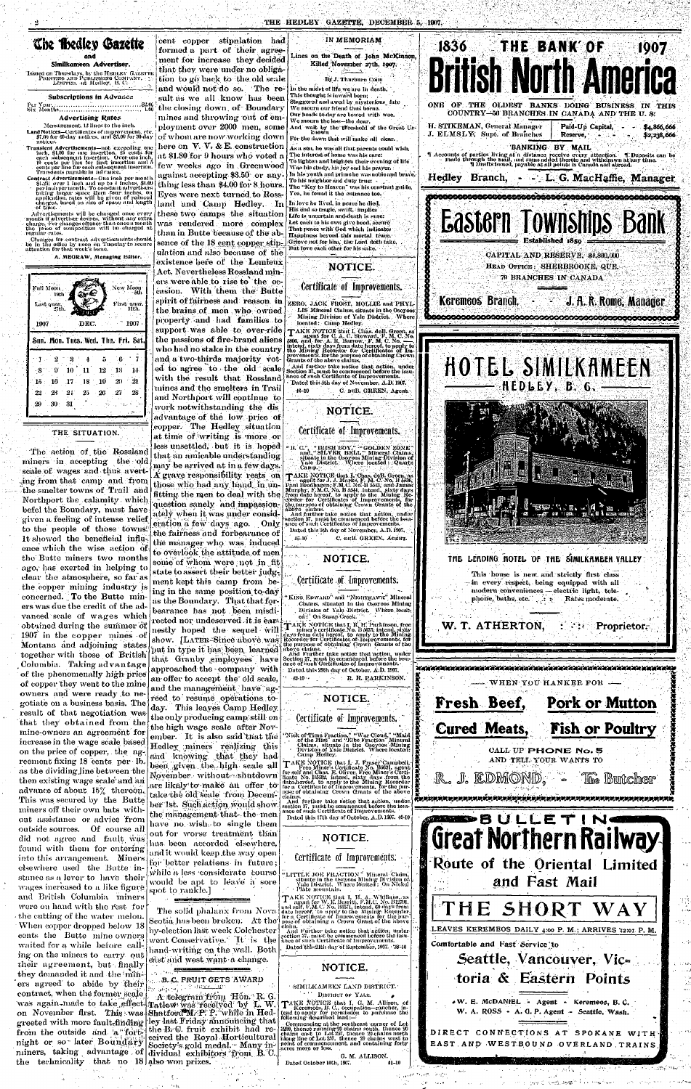## *<u>Uik Hedley Gazette</u>* and

## Similkameen Advertiser.

Issued on Thursdays, by the HEDLEY GAZKTT PRINTING AND PUHI.ISIIING COMPANY, <sub>; </sub> <u>></u><br>Limited. 4t Hedley, B. C.

#### Subscriptions in Advance

l'cr Your

Measurement, 12 lines to the inch. Land Notices—Certillcates of improvement, etc. \$7.00 for 00-day notices, and Sn.OO for 30-day

#### Six. Month\*.. Advertising Rates

month if advertiser desires, without any extra<br>charge. For changes oftener than once a month<br>the "price" of "composition" will "be charged" at regular rates.

Changes for contract adveitiseinents should be in the omeo by monetal Tuesday to secure.<br>attention for that week's issue.

attention for the Avenue of the Avenue of the Avenue of the Avenue of the Avenue of the Avenue of the Avenue o A. MEGRAW, Managing Editor.<br>.

notices. Transient Advertisements-not exceeding one inch, Sft.OO for one insertion, 25 cents for each subsequent insertion. Over one inch, 10 cents ner tine for first insertion and 5 cents per line for each subsequent insertion. Transients payable in advance.

The action of the Rossland miners in accepting the old scale of wages and thus averting from that camp and from the smelter towns of Trail and Northport the calamity which befel the Boundary, must have: given a feeling of intense relief to the people of those towns: 1t showed the beneficial influence which the wise action of the Butte miners two months ago, has exerted in helping to clear the atmosphere, so far as the copper mining industry is concerned. To the Butte miners was due the credit of the advanced scale of wages which obtained during the summer of 1907 in the copper mines of Montana and adjoining states together with those of British Columbia. Taking advantage of the phenomenally high price of copper they went to the mine. owners and were ready to negotiate on a business basis. The result of that negotiation was that they obtained, from the mine-owners an agreement for increase in the wage scale based on the price of copper, the agreement fixing 18 cents per-lb. as the dividing line between the then existing wage scale and an advance of about 15% thereon.. This was secured by the Butte miners off their own bats without assistance or advice from outside sources. Of course all did not agree and fault, was found with them for entering into this arrangement. Miners clsewhere used the Butte instance as a lever to have their wages increased to a like figure and British Columbia miners were on hand with the rest for  $\cdot$  the cutting of the water-melon. When copper dropped below 18 cents the Butte mine owners waited for a while before calling on the miners to carry out their agreement, but finally they demanded it and the min-'ers agreed to abide by their contract, when the former scale was again-made to take effect on November first. This-wasgreeted with more fault-finding from the outside and a fortnight or so later Boundary miners, taking advantage . of miners, caking advantage of dividual exhibitors the technicality that no  $18 \vert$  also won prizes.

Contract Advertisements—One inch per month §1.25: over 1 inch and up to I inches, \$1.00 ' per inch per month. To constant advertisers taking larger space than four inches, on application, rates will bo given of reduced charges, based on size of space and length of time. Advertisements Avill be changed once every

| Full Moon ,<br>- 19th<br>Last quar.<br>27th. |                | <u>ה מקור</u>   |                      | New Moon  | -5th<br>First quar.<br>11th. |
|----------------------------------------------|----------------|-----------------|----------------------|-----------|------------------------------|
| 1907.                                        |                | DEC.            |                      |           | 1907                         |
|                                              | 75.57          |                 |                      |           |                              |
| Sun. Mon. Tues. Wed. Thu. Fri. Sat.          |                |                 |                      |           |                              |
| 2                                            |                | 4               | $\ddot{\phantom{a}}$ | ់6        |                              |
| 9<br>$\cdot 8$                               | 10-            | -11             |                      | $12 - 13$ | 14.                          |
| 16<br>$15\,$<br>$22 -$                       | $23 - 21 - 25$ | $.17 - 18 - 19$ | $-26$                | 20<br>27. | 21<br>28                     |

## THE SITUATION.

ulation and also because of the existence here of the Lemieux | Act. Nevertheless Rossland miners were able to rise to the occasion. With them the Butte spirit of fairness and reason in the brains of men who owned property and had families to support was able to over-ride the passions of fire-brand aliens who had no stake in the country and a two-thirds majority voted to agree to the old scalewith the result that Rossland mines and the smelters in Trail and Northport will continue to work notwithstanding the dis advantage of the low price of copper. The Hedley situation at time of writing is more or less unsettled, but it is hoped that an amicable understanding may be arrived at in a few days.  $\dot{\mathbf{A}}$  grave responsibility, rests on those who had any hand in unfitting the men to deal with the question sanely and impassionately when it was under consid- $\frac{1}{2}$  when it was under consider eration a lew days ago. Only the fairness and forbearance of the manager who was induced to overlook the attitude of men some of whom were not in fit. state to assert their better judgment kept this camp from being in the same position to-day

cent copper stipulation had formed a part of their agreement for increase they decided that they were under no obligal tion to go back to the old scale and would not do so. The result as we all know has been the closing down, of Boundary **i**  mines and throwing out of employment over 2000 men, some of whom are now working down here on  $V. V. \& E.$  construction at \$1.80 for  $9$  hours who voted  $\bf a$ few weeks ago in Greenwood against accepting \$3.50 or anything less than  $$4.00$  for 8 hours. Eyes were next turned to Bossland and Camp Hedley. In these two camps the situation  $\left| \frac{\text{This end so range, switch, implies}}{\text{Life is uncertain and death is sure}} \right|$ was rendered more complex than in Butte because of the' absence of the 18 cent copper stip-

As a son, he was all that parents could wish; The interest of homo was his care: To lighten and brighten their evening of life Was his study, his joy and his prayer. In his youth and prime he was nobleand brave. To his neighbor and duty true: •• The "Key to Heaven" was his constant guide, Yen, he found it the entrance too.

Division of Yale District. Where. located : 'On Susap'Creek."

 $\boldsymbol{\top}$ AKE NOTICE that I. R. H. Parkinson, free <sup>:1</sup> miner's certificate.No. B 5675, intend, sixty days from date hereof, to apply to the Mining.<br>Recorder for Certificates of Improvements, for the purpose of obtaining' Crown' Grants of the<br>above claims.

And Further take notice that action, under Section 37, must be commenced before the issu-ance of such Certificates of Improvements. - Dated this 28th day of October, A.D. 1907.

**, B..C. FRUIT GETS AWARD** •:.<sup>v</sup> *:j;..* ..:.,;:• i-n:^.^- - :•- ' •:•

*A telegram;ir'hm* Hoh.'R, G. Tatlow was received by L.W.  $\mathbf S$ hatford $\mathbf {\mathbb M}$ ; P. while in Hed-*•ley* -last Friday•fihnduhcihg that the B<sub>r</sub>C. fruit exhibit had received the Royal.Horticultural Society's gold medal. " Many individual exhibitors from B.C. also-won prizes.

- 90

Links of Ha

SIMILKAMEEN LAND DISTRICT. ' DISTRICT OF YALE.

### IN MEMORIAM

Lines on the Death of John McKinnon, Killed November 27th, 1907.

#### By J. Thurburn Conn

In the midst of life we are in death, This thought is inward horn; Staggered and awed by invsterious fate We mourn our friend thus borne. Our 'heads to-day arc bowed with ivoo. We mourn the loss—the dear. And wait by the threshold of the Great Un-

known For the dawn that will make all clear..

In love he lived, in peace he died, His end so tragic, swift, implies Let each to his own give heed, secure That peace with God which indicates Happiness beyond this mortal trace. Grieve not for him, the Lord doth take, But love each other for his sake.

# **NOTICE.**

## Certificate of Improvements.

ZERO. JACK FROST. MOLLIE and PHYL-LIS Mineral Claims, situate in the Osoyoos Mining Division of Yale District. Where located: Camp Hedley.

TAKE NOTICE that I, Chas. dell. Green, as<br>agent for C. A. C. Steward, F. M. C. No.<br>5806, and for A. R. Barrow, F. M. C. No. —<br>intend, sixty days from date hereof, to apply to<br>the Mining Recorder for Certificates of Im-<br>pro

And further take notice that action, under Section 37,,must be commenced before the issu-ance of such Certificate of Improvements.

• Dated this 5th day of November, A.D. 11)07. 1B-10 C. mill. GREEN, Agent.

## **NOTICE.**

## Certificate of Improvements.

"B. C.", "IRISH BOY." "GOLDEN ZONE"<br>and "SILVER BELL" Mineral Claims.<br>situate in the Osoyos Mining Division of<br>Yale District. Nhere located : Quartz<br>Camp.

TAKE NOTICE that I. Chas, doB, Green, as a serie for J. J. Marks; F. M. C. No. B 5536;<br>Paul Brodhagen, F.M.C. No. B 5513; and James<br>Murphy, F.M.C. No. B 5544, intend, .sixty days from date hereof, to apply to the Miuing Re-<br>corder-for Certificates of Improvements, for<br>the purpose of obtaining Crown Grants of the<br>above claims. And further take notice that action, under section 37, must be commenced before the issuce of such Certificates of Improvements.

Dated this 5th day of November, A.D. 1997. 45-10 C. DEB. GREEN, AGENT.

# **NOTICE.**

## Certificate of Improvements.

'KiNG, EDWARD" and "NighriiAWic" Mineral -situated in the



and the Commission of the model of

المحجم ومجوداته والمتواز

 $\sim 10^{-1}$   $\sim 10^{-1}$ 

as the Boundary. That that forbearance has not been misdi- ${\bf rected}$  nor undeserved it is ears. nestly hoped the sequel will show. [LATER-Since above was put in type it has been, learned that Granby employees have approached the  $\cdot$  company with an offer to accept the old scale, and the management  $\frac{1}{2}$  have agreed to resume operations today. This leaves Camp Hedley. the only producing camp still on the high wage scale after November. It is also said that the Hedley miners realizing this and knowing that they had been given the high scale all November without shutdown are likely to make an offer to take the old scale from December 1st. Such action would show. the management that the men have no wish to single them out for worse treatment than has been accorded elsewhere, and it would keep the way open for better relations in future; while a less considerate course would be apt to leave a sore spot to rankle.]

The solid phalanx from, Nova Scotia, has been broken. At the by-election last week .Colchester went Conservative. It is the hand-writing on the wall. Both east and west want a change.

:

**NOTICE.** 

Certificate of- Improvements.

claims.

 $43-10$   $\cdot$  R. H. PARKINSON.

**NOTICE.** 

Certificate of Improvements;

**NOTICE.** 

NOTICE that

G. M. ALLISON.

Dated October 10th, 1907. 41-10

cupawon—r<br>ecion to nn